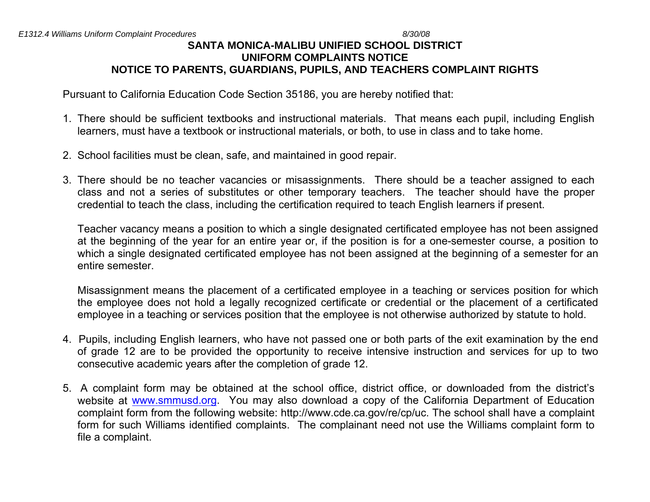# **SANTA MONICA-MALIBU UNIFIED SCHOOL DISTRICT UNIFORM COMPLAINTS NOTICE NOTICE TO PARENTS, GUARDIANS, PUPILS, AND TEACHERS COMPLAINT RIGHTS**

Pursuant to California Education Code Section 35186, you are hereby notified that:

- 1. There should be sufficient textbooks and instructional materials. That means each pupil, including English learners, must have a textbook or instructional materials, or both, to use in class and to take home.
- 2. School facilities must be clean, safe, and maintained in good repair.
- 3. There should be no teacher vacancies or misassignments. There should be a teacher assigned to each class and not a series of substitutes or other temporary teachers. The teacher should have the proper credential to teach the class, including the certification required to teach English learners if present.

Teacher vacancy means a position to which a single designated certificated employee has not been assigned at the beginning of the year for an entire year or, if the position is for a one-semester course, a position to which a single designated certificated employee has not been assigned at the beginning of a semester for an entire semester.

Misassignment means the placement of a certificated employee in a teaching or services position for which the employee does not hold a legally recognized certificate or credential or the placement of a certificated employee in a teaching or services position that the employee is not otherwise authorized by statute to hold.

- 4. Pupils, including English learners, who have not passed one or both parts of the exit examination by the end of grade 12 are to be provided the opportunity to receive intensive instruction and services for up to two consecutive academic years after the completion of grade 12.
- 5. A complaint form may be obtained at the school office, district office, or downloaded from the district's website at [www.smmusd.org](http://www.smmusd.org/). You may also download a copy of the California Department of Education complaint form from the following website: http://www.cde.ca.gov/re/cp/uc. The school shall have a complaint form for such Williams identified complaints. The complainant need not use the Williams complaint form to file a complaint.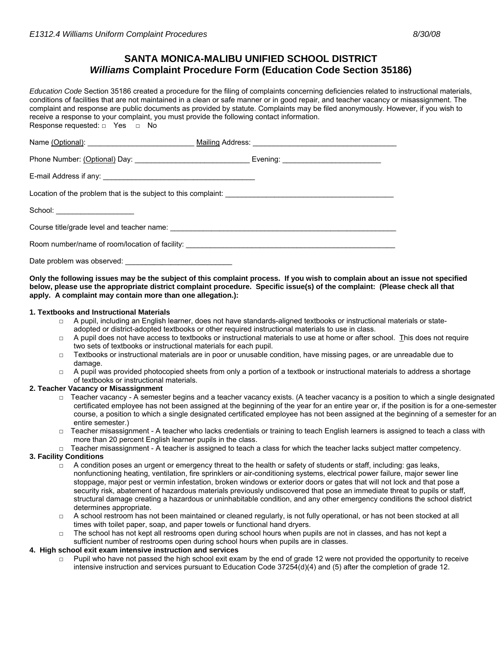## **SANTA MONICA-MALIBU UNIFIED SCHOOL DISTRICT**  *Williams* **Complaint Procedure Form (Education Code Section 35186)**

*Education Code* Section 35186 created a procedure for the filing of complaints concerning deficiencies related to instructional materials, conditions of facilities that are not maintained in a clean or safe manner or in good repair, and teacher vacancy or misassignment. The complaint and response are public documents as provided by statute. Complaints may be filed anonymously. However, if you wish to receive a response to your complaint, you must provide the following contact information. Response requested: □ Yes □ No

| School: _____________________                                                     |  |
|-----------------------------------------------------------------------------------|--|
|                                                                                   |  |
| Room number/name of room/location of facility: __________________________________ |  |
| Date problem was observed:                                                        |  |

**Only the following issues may be the subject of this complaint process. If you wish to complain about an issue not specified below, please use the appropriate district complaint procedure. Specific issue(s) of the complaint: (Please check all that apply. A complaint may contain more than one allegation.):** 

### **1. Textbooks and Instructional Materials**

- $\Box$  A pupil, including an English learner, does not have standards-aligned textbooks or instructional materials or stateadopted or district-adopted textbooks or other required instructional materials to use in class.
- $\Box$  A pupil does not have access to textbooks or instructional materials to use at home or after school. This does not require two sets of textbooks or instructional materials for each pupil.
- $\Box$  Textbooks or instructional materials are in poor or unusable condition, have missing pages, or are unreadable due to damage.
- $\Box$  A pupil was provided photocopied sheets from only a portion of a textbook or instructional materials to address a shortage of textbooks or instructional materials.

## **2. Teacher Vacancy or Misassignment**

- □ Teacher vacancy A semester begins and a teacher vacancy exists. (A teacher vacancy is a position to which a single designated certificated employee has not been assigned at the beginning of the year for an entire year or, if the position is for a one-semester course, a position to which a single designated certificated employee has not been assigned at the beginning of a semester for an entire semester.)
- □ Teacher misassignment A teacher who lacks credentials or training to teach English learners is assigned to teach a class with more than 20 percent English learner pupils in the class.
- □ Teacher misassignment A teacher is assigned to teach a class for which the teacher lacks subject matter competency.

## **3. Facility Conditions**

- $\Box$  A condition poses an urgent or emergency threat to the health or safety of students or staff, including: gas leaks, nonfunctioning heating, ventilation, fire sprinklers or air-conditioning systems, electrical power failure, major sewer line stoppage, major pest or vermin infestation, broken windows or exterior doors or gates that will not lock and that pose a security risk, abatement of hazardous materials previously undiscovered that pose an immediate threat to pupils or staff, structural damage creating a hazardous or uninhabitable condition, and any other emergency conditions the school district determines appropriate.
- $\Box$  A school restroom has not been maintained or cleaned regularly, is not fully operational, or has not been stocked at all times with toilet paper, soap, and paper towels or functional hand dryers.
- The school has not kept all restrooms open during school hours when pupils are not in classes, and has not kept a sufficient number of restrooms open during school hours when pupils are in classes.

#### **4. High school exit exam intensive instruction and services**

Pupil who have not passed the high school exit exam by the end of grade 12 were not provided the opportunity to receive intensive instruction and services pursuant to Education Code 37254(d)(4) and (5) after the completion of grade 12.